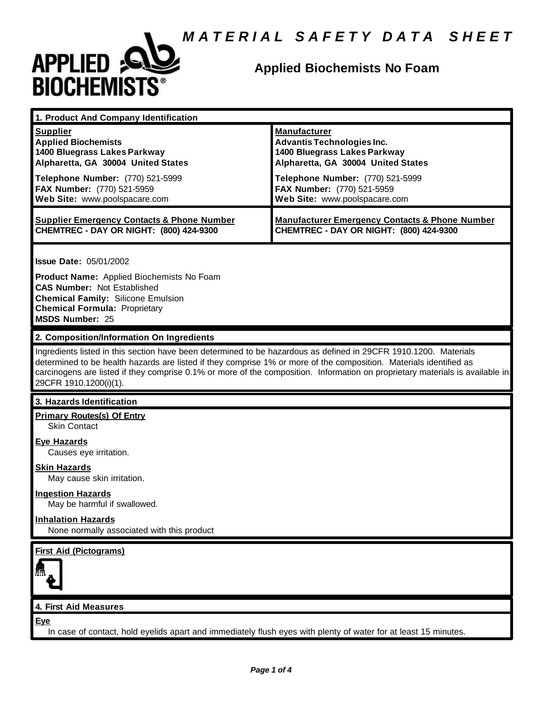

# **Applied Biochemists No Foam**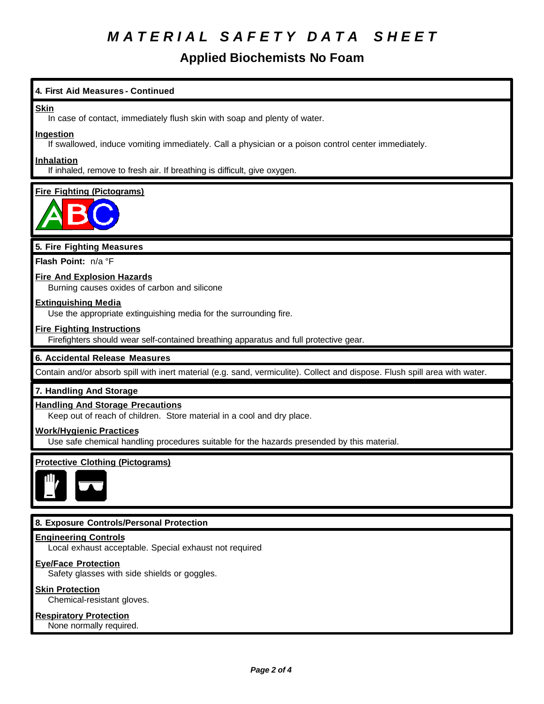# *M A T E R I A L S A F E T Y D A T A S H E E T*

## **Applied Biochemists No Foam**

### **4. First Aid Measures - Continued**

#### **Skin**

In case of contact, immediately flush skin with soap and plenty of water.

#### **Ingestion**

If swallowed, induce vomiting immediately. Call a physician or a poison control center immediately.

#### **Inhalation**

If inhaled, remove to fresh air. If breathing is difficult, give oxygen.

### **Fire Fighting (Pictograms)**



### **5. Fire Fighting Measures**

**Flash Point:** n/a °F

### **Fire And Explosion Hazards**

Burning causes oxides of carbon and silicone

#### **Extinguishing Media**

Use the appropriate extinguishing media for the surrounding fire.

#### **Fire Fighting Instructions**

Firefighters should wear self-contained breathing apparatus and full protective gear.

#### **6. Accidental Release Measures**

Contain and/or absorb spill with inert material (e.g. sand, vermiculite). Collect and dispose. Flush spill area with water.

#### **7. Handling And Storage**

#### **Handling And Storage Precautions**

Keep out of reach of children. Store material in a cool and dry place.

#### **Work/Hygienic Practices**

Use safe chemical handling procedures suitable for the hazards presended by this material.

### **Protective Clothing (Pictograms)**



#### **8. Exposure Controls/Personal Protection**

#### **Engineering Controls**

Local exhaust acceptable. Special exhaust not required

#### **Eye/Face Protection**

Safety glasses with side shields or goggles.

#### **Skin Protection**

Chemical-resistant gloves.

#### **Respiratory Protection**

None normally required.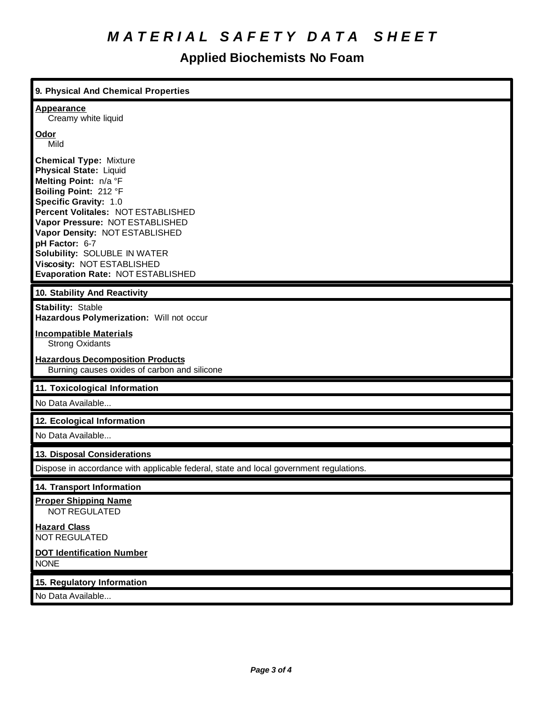# *M A T E R I A L S A F E T Y D A T A S H E E T*

# **Applied Biochemists No Foam**

| 9. Physical And Chemical Properties                                                                                                                                                                                                                                                                                                                                       |
|---------------------------------------------------------------------------------------------------------------------------------------------------------------------------------------------------------------------------------------------------------------------------------------------------------------------------------------------------------------------------|
| <b>Appearance</b><br>Creamy white liquid                                                                                                                                                                                                                                                                                                                                  |
| <u>Odor</u><br>Mild                                                                                                                                                                                                                                                                                                                                                       |
| <b>Chemical Type: Mixture</b><br><b>Physical State: Liquid</b><br>Melting Point: n/a °F<br>Boiling Point: 212 °F<br>Specific Gravity: 1.0<br>Percent Volitales: NOT ESTABLISHED<br>Vapor Pressure: NOT ESTABLISHED<br>Vapor Density: NOT ESTABLISHED<br>pH Factor: 6-7<br>Solubility: SOLUBLE IN WATER<br>Viscosity: NOT ESTABLISHED<br>Evaporation Rate: NOT ESTABLISHED |
| 10. Stability And Reactivity                                                                                                                                                                                                                                                                                                                                              |
| <b>Stability: Stable</b><br>Hazardous Polymerization: Will not occur                                                                                                                                                                                                                                                                                                      |
| <b>Incompatible Materials</b><br><b>Strong Oxidants</b>                                                                                                                                                                                                                                                                                                                   |
| <b>Hazardous Decomposition Products</b><br>Burning causes oxides of carbon and silicone                                                                                                                                                                                                                                                                                   |
| 11. Toxicological Information                                                                                                                                                                                                                                                                                                                                             |
| No Data Available                                                                                                                                                                                                                                                                                                                                                         |
| 12. Ecological Information                                                                                                                                                                                                                                                                                                                                                |
| No Data Available                                                                                                                                                                                                                                                                                                                                                         |
| 13. Disposal Considerations                                                                                                                                                                                                                                                                                                                                               |
| Dispose in accordance with applicable federal, state and local government regulations.                                                                                                                                                                                                                                                                                    |
| 14. Transport Information                                                                                                                                                                                                                                                                                                                                                 |
| <b>Proper Shipping Name</b><br><b>NOT REGULATED</b>                                                                                                                                                                                                                                                                                                                       |
| <b>Hazard Class</b><br><b>NOT REGULATED</b>                                                                                                                                                                                                                                                                                                                               |
| <b>DOT Identification Number</b><br><b>NONE</b>                                                                                                                                                                                                                                                                                                                           |
| 15. Regulatory Information                                                                                                                                                                                                                                                                                                                                                |
|                                                                                                                                                                                                                                                                                                                                                                           |

No Data Available...